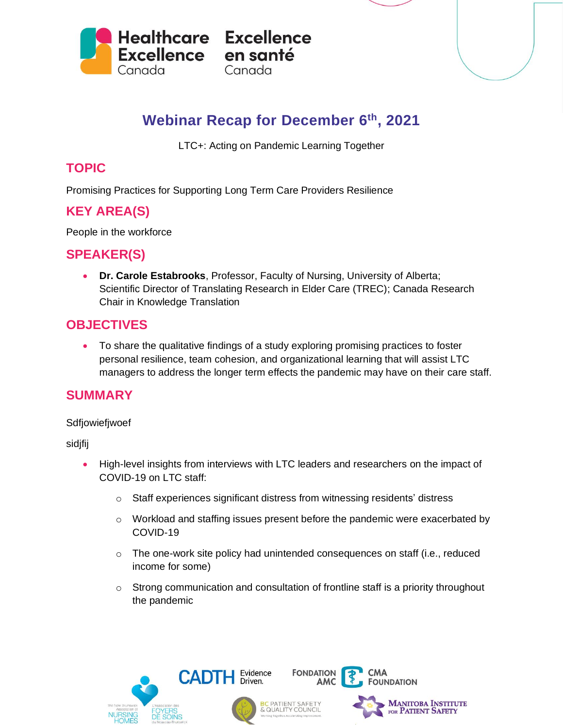

# **Webinar Recap for December 6 th, 2021**

LTC+: Acting on Pandemic Learning Together

## **TOPIC**

Promising Practices for Supporting Long Term Care Providers Resilience

# **KEY AREA(S)**

People in the workforce

### **SPEAKER(S)**

• **Dr. Carole Estabrooks**, Professor, Faculty of Nursing, University of Alberta; Scientific Director of Translating Research in Elder Care (TREC); Canada Research Chair in Knowledge Translation

#### **OBJECTIVES**

• To share the qualitative findings of a study exploring promising practices to foster personal resilience, team cohesion, and organizational learning that will assist LTC managers to address the longer term effects the pandemic may have on their care staff.

#### **SUMMARY**

#### Sdfjowiefjwoef

sidjfij

- High-level insights from interviews with LTC leaders and researchers on the impact of COVID-19 on LTC staff:
	- o Staff experiences significant distress from witnessing residents' distress
	- o Workload and staffing issues present before the pandemic were exacerbated by COVID-19
	- o The one-work site policy had unintended consequences on staff (i.e., reduced income for some)
	- $\circ$  Strong communication and consultation of frontline staff is a priority throughout the pandemic

**FONDATION** 







CMA **FOUNDATION**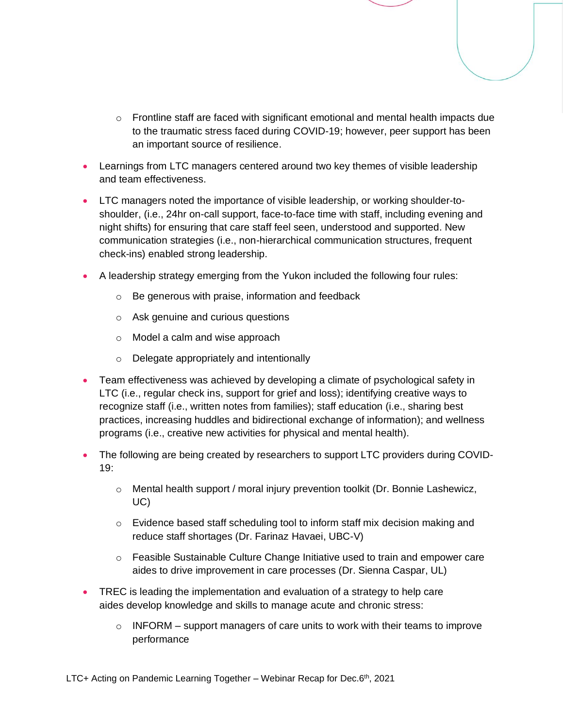- $\circ$  Frontline staff are faced with significant emotional and mental health impacts due to the traumatic stress faced during COVID-19; however, peer support has been an important source of resilience.
- Learnings from LTC managers centered around two key themes of visible leadership and team effectiveness.
- LTC managers noted the importance of visible leadership, or working shoulder-toshoulder, (i.e., 24hr on-call support, face-to-face time with staff, including evening and night shifts) for ensuring that care staff feel seen, understood and supported. New communication strategies (i.e., non-hierarchical communication structures, frequent check-ins) enabled strong leadership.
- A leadership strategy emerging from the Yukon included the following four rules:
	- o Be generous with praise, information and feedback
	- o Ask genuine and curious questions
	- o Model a calm and wise approach
	- o Delegate appropriately and intentionally
- Team effectiveness was achieved by developing a climate of psychological safety in LTC (i.e., regular check ins, support for grief and loss); identifying creative ways to recognize staff (i.e., written notes from families); staff education (i.e., sharing best practices, increasing huddles and bidirectional exchange of information); and wellness programs (i.e., creative new activities for physical and mental health).
- The following are being created by researchers to support LTC providers during COVID-19:
	- o Mental health support / moral injury prevention toolkit (Dr. Bonnie Lashewicz, UC)
	- $\circ$  Evidence based staff scheduling tool to inform staff mix decision making and reduce staff shortages (Dr. Farinaz Havaei, UBC-V)
	- o Feasible Sustainable Culture Change Initiative used to train and empower care aides to drive improvement in care processes (Dr. Sienna Caspar, UL)
- TREC is leading the implementation and evaluation of a strategy to help care aides develop knowledge and skills to manage acute and chronic stress:
	- $\circ$  INFORM support managers of care units to work with their teams to improve performance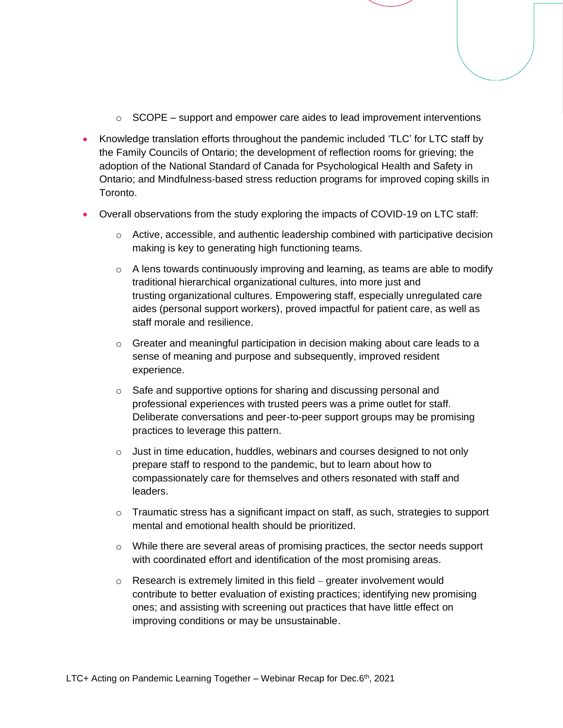- $\circ$  SCOPE support and empower care aides to lead improvement interventions
- Knowledge translation efforts throughout the pandemic included 'TLC' for LTC staff by the Family Councils of Ontario; the development of reflection rooms for grieving; the adoption of the National Standard of Canada for Psychological Health and Safety in Ontario; and Mindfulness-based stress reduction programs for improved coping skills in Toronto.
- Overall observations from the study exploring the impacts of COVID-19 on LTC staff:
	- $\circ$  Active, accessible, and authentic leadership combined with participative decision making is key to generating high functioning teams.
	- $\circ$  A lens towards continuously improving and learning, as teams are able to modify traditional hierarchical organizational cultures, into more just and trusting organizational cultures. Empowering staff, especially unregulated care aides (personal support workers), proved impactful for patient care, as well as staff morale and resilience.
	- o Greater and meaningful participation in decision making about care leads to a sense of meaning and purpose and subsequently, improved resident experience.
	- $\circ$  Safe and supportive options for sharing and discussing personal and professional experiences with trusted peers was a prime outlet for staff. Deliberate conversations and peer-to-peer support groups may be promising practices to leverage this pattern.
	- $\circ$  Just in time education, huddles, webinars and courses designed to not only prepare staff to respond to the pandemic, but to learn about how to compassionately care for themselves and others resonated with staff and leaders.
	- $\circ$  Traumatic stress has a significant impact on staff, as such, strategies to support mental and emotional health should be prioritized.
	- $\circ$  While there are several areas of promising practices, the sector needs support with coordinated effort and identification of the most promising areas.
	- $\circ$  Research is extremely limited in this field greater involvement would contribute to better evaluation of existing practices; identifying new promising ones; and assisting with screening out practices that have little effect on improving conditions or may be unsustainable.